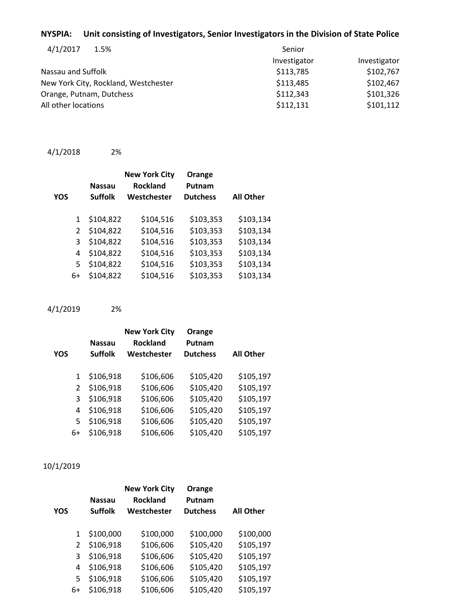### **NYSPIA: Unit consisting of Investigators, Senior Investigators in the Division of State Police**

| 4/1/2017<br>1.5%                     | Senior       |              |  |
|--------------------------------------|--------------|--------------|--|
|                                      | Investigator | Investigator |  |
| Nassau and Suffolk                   | \$113,785    | \$102,767    |  |
| New York City, Rockland, Westchester | \$113,485    | \$102,467    |  |
| Orange, Putnam, Dutchess             | \$112,343    | \$101,326    |  |
| All other locations                  | \$112,131    | \$101,112    |  |

```
4/1/2018 2%
```

| YOS |               | <b>Nassau</b><br><b>Suffolk</b> | <b>New York City</b><br><b>Rockland</b><br>Westchester | Orange<br>Putnam<br><b>Dutchess</b> | <b>All Other</b> |
|-----|---------------|---------------------------------|--------------------------------------------------------|-------------------------------------|------------------|
|     | $\mathbf{1}$  | \$104,822                       | \$104,516                                              | \$103,353                           | \$103,134        |
|     | $\mathcal{P}$ | \$104,822                       | \$104,516                                              | \$103,353                           | \$103,134        |
|     | 3             | \$104,822                       | \$104,516                                              | \$103,353                           | \$103,134        |
|     | 4             | \$104,822                       | \$104,516                                              | \$103,353                           | \$103,134        |
|     | 5             | \$104,822                       | \$104,516                                              | \$103,353                           | \$103,134        |
|     | 6+            | \$104,822                       | \$104,516                                              | \$103,353                           | \$103,134        |

4/1/2019 2%

|     |               | <b>Nassau</b>  | <b>New York City</b><br><b>Rockland</b> | Orange<br>Putnam |                  |
|-----|---------------|----------------|-----------------------------------------|------------------|------------------|
| YOS |               | <b>Suffolk</b> | Westchester                             | <b>Dutchess</b>  | <b>All Other</b> |
|     |               |                |                                         |                  |                  |
|     | $\mathbf{1}$  | \$106,918      | \$106,606                               | \$105,420        | \$105,197        |
|     | $\mathcal{L}$ | \$106,918      | \$106,606                               | \$105,420        | \$105,197        |
|     | 3             | \$106,918      | \$106,606                               | \$105,420        | \$105,197        |
|     | 4             | \$106,918      | \$106,606                               | \$105,420        | \$105,197        |
|     | 5             | \$106,918      | \$106,606                               | \$105,420        | \$105,197        |
|     | 6+            | \$106,918      | \$106,606                               | \$105,420        | \$105,197        |

# 10/1/2019

|     |               | <b>Nassau</b>  | <b>New York City</b><br><b>Rockland</b> | Orange<br>Putnam |                  |
|-----|---------------|----------------|-----------------------------------------|------------------|------------------|
| YOS |               | <b>Suffolk</b> | Westchester                             | <b>Dutchess</b>  | <b>All Other</b> |
|     | 1             | \$100,000      | \$100,000                               | \$100,000        | \$100,000        |
|     | $\mathcal{P}$ | \$106,918      | \$106,606                               | \$105,420        | \$105,197        |
|     | 3             | \$106,918      | \$106,606                               | \$105,420        | \$105,197        |
|     | 4             | \$106,918      | \$106,606                               | \$105,420        | \$105,197        |
|     | 5             | \$106,918      | \$106,606                               | \$105,420        | \$105,197        |
|     | 6+            | \$106,918      | \$106,606                               | \$105,420        | \$105,197        |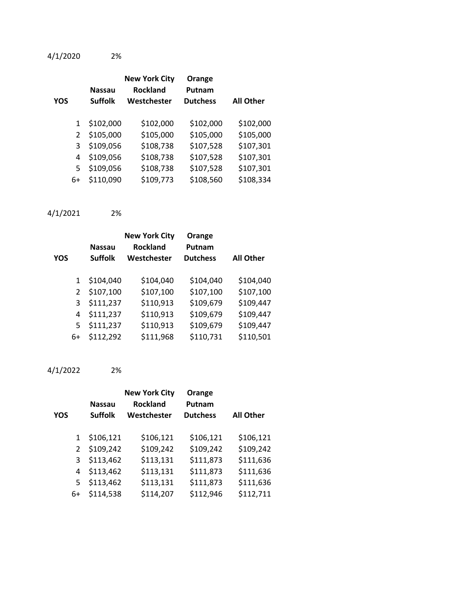4/1/2020 2%

| YOS |    | <b>Nassau</b><br><b>Suffolk</b> | <b>New York City</b><br><b>Rockland</b><br>Westchester | Orange<br>Putnam<br><b>Dutchess</b> | <b>All Other</b> |
|-----|----|---------------------------------|--------------------------------------------------------|-------------------------------------|------------------|
|     | 1  | \$102,000                       | \$102,000                                              | \$102,000                           | \$102,000        |
|     | 2  | \$105,000                       | \$105,000                                              | \$105,000                           | \$105,000        |
|     | 3  | \$109,056                       | \$108,738                                              | \$107,528                           | \$107,301        |
|     | 4  | \$109,056                       | \$108,738                                              | \$107,528                           | \$107,301        |
|     | 5  | \$109,056                       | \$108,738                                              | \$107,528                           | \$107,301        |
|     | 6+ | \$110,090                       | \$109,773                                              | \$108,560                           | \$108,334        |

### 4/1/2021 2%

| YOS           | <b>Nassau</b><br><b>Suffolk</b> | <b>New York City</b><br><b>Rockland</b><br>Westchester | Orange<br>Putnam<br><b>Dutchess</b> | <b>All Other</b> |
|---------------|---------------------------------|--------------------------------------------------------|-------------------------------------|------------------|
| 1             | \$104,040                       | \$104,040                                              | \$104,040                           | \$104,040        |
| $\mathcal{P}$ | \$107,100                       | \$107,100                                              | \$107,100                           | \$107,100        |
| 3             | \$111,237                       | \$110,913                                              | \$109,679                           | \$109,447        |
| 4             | \$111,237                       | \$110,913                                              | \$109,679                           | \$109,447        |
| 5             | \$111,237                       | \$110,913                                              | \$109,679                           | \$109,447        |
| 6+            | \$112,292                       | \$111,968                                              | \$110,731                           | \$110,501        |
|               |                                 |                                                        |                                     |                  |

# 4/1/2022 2%

| YOS |    | <b>Nassau</b><br><b>Suffolk</b> | <b>New York City</b><br><b>Rockland</b><br>Westchester | Orange<br>Putnam<br><b>Dutchess</b> | <b>All Other</b> |
|-----|----|---------------------------------|--------------------------------------------------------|-------------------------------------|------------------|
|     |    |                                 |                                                        |                                     |                  |
|     | 1  | \$106,121                       | \$106,121                                              | \$106,121                           | \$106,121        |
|     | 2  | \$109,242                       | \$109,242                                              | \$109,242                           | \$109,242        |
|     | 3  | \$113,462                       | \$113,131                                              | \$111,873                           | \$111,636        |
|     | 4  | \$113,462                       | \$113,131                                              | \$111,873                           | \$111,636        |
|     | 5. | \$113,462                       | \$113,131                                              | \$111,873                           | \$111,636        |
|     | 6+ | \$114,538                       | \$114,207                                              | \$112,946                           | \$112,711        |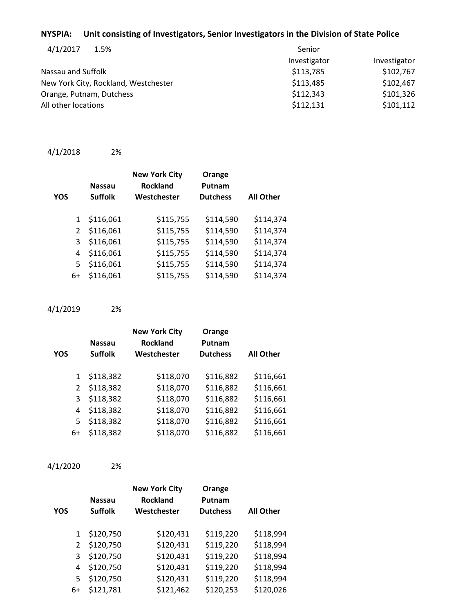#### **NYSPIA: Unit consisting of Investigators, Senior Investigators in the Division of State Police**

| Senior       |              |
|--------------|--------------|
| Investigator | Investigator |
| \$113,785    | \$102,767    |
| \$113,485    | \$102,467    |
| \$112,343    | \$101,326    |
| \$112,131    | \$101,112    |
|              |              |

```
4/1/2018 2%
```

| YOS |                | <b>Nassau</b><br><b>Suffolk</b> | <b>New York City</b><br><b>Rockland</b><br>Westchester | Orange<br>Putnam<br><b>Dutchess</b> | <b>All Other</b> |
|-----|----------------|---------------------------------|--------------------------------------------------------|-------------------------------------|------------------|
|     | $\mathbf{1}$   | \$116,061                       | \$115,755                                              | \$114,590                           | \$114,374        |
|     | $\overline{2}$ | \$116,061                       | \$115,755                                              | \$114,590                           | \$114,374        |
|     | 3              | \$116,061                       | \$115,755                                              | \$114,590                           | \$114,374        |
|     | 4              | \$116,061                       | \$115,755                                              | \$114,590                           | \$114,374        |
|     | 5              | \$116,061                       | \$115,755                                              | \$114,590                           | \$114,374        |
|     | 6+             | \$116,061                       | \$115,755                                              | \$114,590                           | \$114,374        |

4/1/2019 2%

| <b>YOS</b> |               | <b>Nassau</b><br><b>Suffolk</b> | <b>New York City</b><br><b>Rockland</b><br>Westchester | Orange<br>Putnam<br><b>Dutchess</b> | <b>All Other</b> |
|------------|---------------|---------------------------------|--------------------------------------------------------|-------------------------------------|------------------|
|            | 1             | \$118,382                       | \$118,070                                              | \$116,882                           | \$116,661        |
|            | $\mathcal{L}$ | \$118,382                       | \$118,070                                              | \$116,882                           | \$116,661        |
|            | 3             | \$118,382                       | \$118,070                                              | \$116,882                           | \$116,661        |
|            | 4             | \$118,382                       | \$118,070                                              | \$116,882                           | \$116,661        |
|            | 5             | \$118,382                       | \$118,070                                              | \$116,882                           | \$116,661        |
|            | 6+            | \$118,382                       | \$118,070                                              | \$116,882                           | \$116,661        |

4/1/2020 2%

| <b>YOS</b> |    | <b>Nassau</b><br><b>Suffolk</b> | <b>New York City</b><br><b>Rockland</b><br>Westchester | Orange<br>Putnam<br><b>Dutchess</b> | <b>All Other</b> |
|------------|----|---------------------------------|--------------------------------------------------------|-------------------------------------|------------------|
|            | 1  | \$120,750                       | \$120,431                                              | \$119,220                           | \$118,994        |
|            | 2  | \$120,750                       | \$120,431                                              | \$119,220                           | \$118,994        |
|            | 3  | \$120,750                       | \$120,431                                              | \$119,220                           | \$118,994        |
|            | 4  | \$120,750                       | \$120,431                                              | \$119,220                           | \$118,994        |
|            | 5  | \$120,750                       | \$120,431                                              | \$119,220                           | \$118,994        |
|            | 6+ | \$121,781                       | \$121,462                                              | \$120,253                           | \$120,026        |